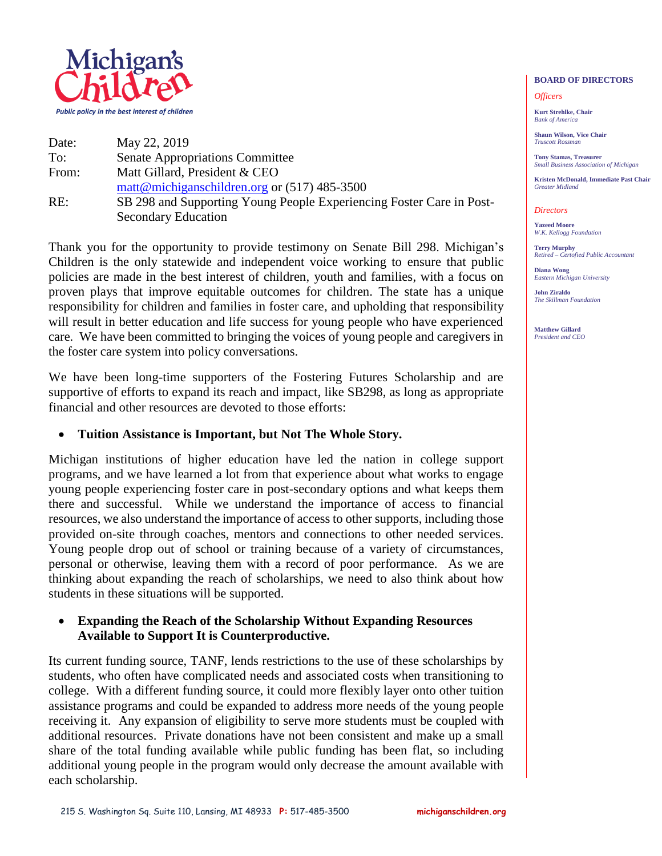

| Date: | May 22, 2019                                                         |
|-------|----------------------------------------------------------------------|
| To:   | <b>Senate Appropriations Committee</b>                               |
| From: | Matt Gillard, President & CEO                                        |
|       | matt@michiganschildren.org or $(517)$ 485-3500                       |
| RE:   | SB 298 and Supporting Young People Experiencing Foster Care in Post- |
|       | <b>Secondary Education</b>                                           |

Thank you for the opportunity to provide testimony on Senate Bill 298. Michigan's Children is the only statewide and independent voice working to ensure that public policies are made in the best interest of children, youth and families, with a focus on proven plays that improve equitable outcomes for children. The state has a unique responsibility for children and families in foster care, and upholding that responsibility will result in better education and life success for young people who have experienced care. We have been committed to bringing the voices of young people and caregivers in the foster care system into policy conversations.

We have been long-time supporters of the Fostering Futures Scholarship and are supportive of efforts to expand its reach and impact, like SB298, as long as appropriate financial and other resources are devoted to those efforts:

### **Tuition Assistance is Important, but Not The Whole Story.**

Michigan institutions of higher education have led the nation in college support programs, and we have learned a lot from that experience about what works to engage young people experiencing foster care in post-secondary options and what keeps them there and successful. While we understand the importance of access to financial resources, we also understand the importance of access to other supports, including those provided on-site through coaches, mentors and connections to other needed services. Young people drop out of school or training because of a variety of circumstances, personal or otherwise, leaving them with a record of poor performance. As we are thinking about expanding the reach of scholarships, we need to also think about how students in these situations will be supported.

## **Expanding the Reach of the Scholarship Without Expanding Resources Available to Support It is Counterproductive.**

Its current funding source, TANF, lends restrictions to the use of these scholarships by students, who often have complicated needs and associated costs when transitioning to college. With a different funding source, it could more flexibly layer onto other tuition assistance programs and could be expanded to address more needs of the young people receiving it. Any expansion of eligibility to serve more students must be coupled with additional resources. Private donations have not been consistent and make up a small share of the total funding available while public funding has been flat, so including additional young people in the program would only decrease the amount available with each scholarship.

### **BOARD OF DIRECTORS**

#### *Officers*

**Kurt Strehlke, Chair** *Bank of America*

**Shaun Wilson, Vice Chair** *Truscott Rossman*

**Tony Stamas, Treasurer** *Small Business Association of Michigan*

**Kristen McDonald, Immediate Past Chair** *Greater Midland*

#### *Directors*

**Yazeed Moore** *W.K. Kellogg Foundation*

**Terry Murphy** *Retired – Certofied Public Accountant*

**Diana Wong** *Eastern Michigan University*

**John Ziraldo** *The Skillman Foundation*

**Matthew Gillard** *President and CEO*